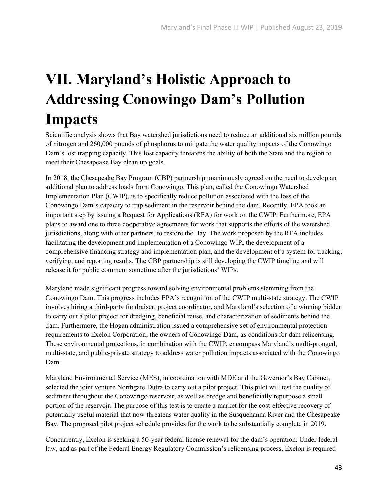## **VII. Maryland's Holistic Approach to Addressing Conowingo Dam's Pollution Impacts**

Scientific analysis shows that Bay watershed jurisdictions need to reduce an additional six million pounds of nitrogen and 260,000 pounds of phosphorus to mitigate the water quality impacts of the Conowingo Dam's lost trapping capacity. This lost capacity threatens the ability of both the State and the region to meet their Chesapeake Bay clean up goals.

In 2018, the Chesapeake Bay Program (CBP) partnership unanimously agreed on the need to develop an additional plan to address loads from Conowingo. This plan, called the Conowingo Watershed Implementation Plan (CWIP), is to specifically reduce pollution associated with the loss of the Conowingo Dam's capacity to trap sediment in the reservoir behind the dam. Recently, EPA took an important step by issuing a Request for Applications (RFA) for work on the CWIP. Furthermore, EPA plans to award one to three cooperative agreements for work that supports the efforts of the watershed jurisdictions, along with other partners, to restore the Bay. The work proposed by the RFA includes facilitating the development and implementation of a Conowingo WIP, the development of a comprehensive financing strategy and implementation plan, and the development of a system for tracking, verifying, and reporting results. The CBP partnership is still developing the CWIP timeline and will release it for public comment sometime after the jurisdictions' WIPs.

Maryland made significant progress toward solving environmental problems stemming from the Conowingo Dam. This progress includes EPA's recognition of the CWIP multi-state strategy. The CWIP involves hiring a third-party fundraiser, project coordinator, and Maryland's selection of a winning bidder to carry out a pilot project for dredging, beneficial reuse, and characterization of sediments behind the dam. Furthermore, the Hogan administration issued a comprehensive set of environmental protection requirements to Exelon Corporation, the owners of Conowingo Dam, as conditions for dam relicensing. These environmental protections, in combination with the CWIP, encompass Maryland's multi-pronged, multi-state, and public-private strategy to address water pollution impacts associated with the Conowingo Dam.

Maryland Environmental Service (MES), in coordination with MDE and the Governor's Bay Cabinet, selected the joint venture Northgate Dutra to carry out a pilot project. This pilot will test the quality of sediment throughout the Conowingo reservoir, as well as dredge and beneficially repurpose a small portion of the reservoir. The purpose of this test is to create a market for the cost-effective recovery of potentially useful material that now threatens water quality in the Susquehanna River and the Chesapeake Bay. The proposed pilot project schedule provides for the work to be substantially complete in 2019.

Concurrently, Exelon is seeking a 50-year federal license renewal for the dam's operation. Under federal law, and as part of the Federal Energy Regulatory Commission's relicensing process, Exelon is required